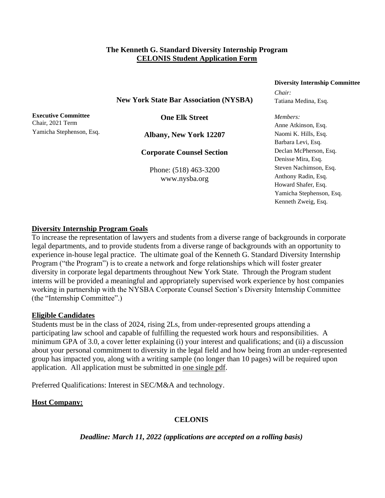#### **The Kenneth G. Standard Diversity Internship Program CELONIS Student Application Form**

# **New York State Bar Association (NYSBA)**

**Executive Committee** Chair, 2021 Term Yamicha Stephenson, Esq.

**One Elk Street**

**Albany, New York 12207**

**Corporate Counsel Section**

Phone: (518) 463-3200 www.nysba.org

#### **Diversity Internship Committee**

*Chair:* Tatiana Medina, Esq.

*Members:* Anne Atkinson, Esq. Naomi K. Hills, Esq. Barbara Levi, Esq. Declan McPherson, Esq. Denisse Mira, Esq. Steven Nachimson, Esq. Anthony Radin, Esq. Howard Shafer, Esq. Yamicha Stephenson, Esq. Kenneth Zweig, Esq.

#### **Diversity Internship Program Goals**

To increase the representation of lawyers and students from a diverse range of backgrounds in corporate legal departments, and to provide students from a diverse range of backgrounds with an opportunity to experience in-house legal practice. The ultimate goal of the Kenneth G. Standard Diversity Internship Program ("the Program") is to create a network and forge relationships which will foster greater diversity in corporate legal departments throughout New York State. Through the Program student interns will be provided a meaningful and appropriately supervised work experience by host companies working in partnership with the NYSBA Corporate Counsel Section's Diversity Internship Committee (the "Internship Committee".)

#### **Eligible Candidates**

Students must be in the class of 2024, rising 2Ls, from under-represented groups attending a participating law school and capable of fulfilling the requested work hours and responsibilities. A minimum GPA of 3.0, a cover letter explaining (i) your interest and qualifications; and (ii) a discussion about your personal commitment to diversity in the legal field and how being from an under-represented group has impacted you, along with a writing sample (no longer than 10 pages) will be required upon application.All application must be submitted in one single pdf.

Preferred Qualifications: Interest in SEC/M&A and technology.

# **Host Company:**

# **CELONIS**

# *Deadline: March 11, 2022 (applications are accepted on a rolling basis)*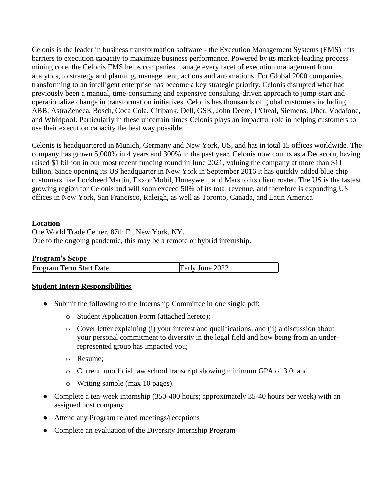Celonis is the leader in business transformation software - the Execution Management Systems (EMS) lifts barriers to execution capacity to maximize business performance. Powered by its market-leading process mining core, the Celonis EMS helps companies manage every facet of execution management from analytics, to strategy and planning, management, actions and automations. For Global 2000 companies, transforming to an intelligent enterprise has become a key strategic priority. Celonis disrupted what had previously been a manual, time-consuming and expensive consulting-driven approach to jump-start and operationalize change in transformation initiatives. Celonis has thousands of global customers including ABB, AstraZeneca, Bosch, Coca Cola, Citibank, Dell, GSK, John Deere, L'Oreal, Siemens, Uber, Vodafone, and Whirlpool. Particularly in these uncertain times Celonis plays an impactful role in helping customers to use their execution capacity the best way possible.

Celonis is headquartered in Munich, Germany and New York, US, and has in total 15 offices worldwide. The company has grown 5,000% in 4 years and 300% in the past year. Celonis now counts as a Decacorn, having raised \$1 billion in our most recent funding round in June 2021, valuing the company at more than \$11 billion. Since opening its US headquarter in New York in September 2016 it has quickly added blue chip customers like Lockheed Martin, ExxonMobil, Honeywell, and Mars to its client roster. The US is the fastest growing region for Celonis and will soon exceed 50% of its total revenue, and therefore is expanding US offices in New York, San Francisco, Raleigh, as well as Toronto, Canada, and Latin America

#### **Location**

One World Trade Center, 87th Fl, New York, NY. Due to the ongoing pandemic, this may be a remote or hybrid internship.

| <b>Program's Scope</b> |  |
|------------------------|--|
|------------------------|--|

| Program Term Start Date | Early June 2022 |  |
|-------------------------|-----------------|--|
|-------------------------|-----------------|--|

# **Student Intern Responsibilities**

- Submit the following to the Internship Committee in <u>one single pdf</u>:
	- o Student Application Form (attached hereto);
	- o Cover letter explaining (i) your interest and qualifications; and (ii) a discussion about your personal commitment to diversity in the legal field and how being from an underrepresented group has impacted you;
	- o Resume;
	- o Current, unofficial law school transcript showing minimum GPA of 3.0; and
	- o Writing sample (max 10 pages).
- Complete a ten-week internship (350-400 hours; approximately 35-40 hours per week) with an assigned host company
- Attend any Program related meetings/receptions
- Complete an evaluation of the Diversity Internship Program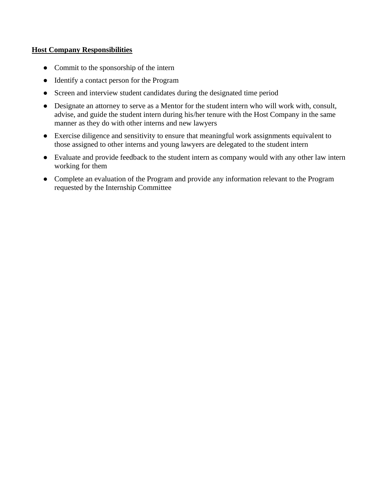# **Host Company Responsibilities**

- Commit to the sponsorship of the intern
- Identify a contact person for the Program
- Screen and interview student candidates during the designated time period
- Designate an attorney to serve as a Mentor for the student intern who will work with, consult, advise, and guide the student intern during his/her tenure with the Host Company in the same manner as they do with other interns and new lawyers
- Exercise diligence and sensitivity to ensure that meaningful work assignments equivalent to those assigned to other interns and young lawyers are delegated to the student intern
- Evaluate and provide feedback to the student intern as company would with any other law intern working for them
- Complete an evaluation of the Program and provide any information relevant to the Program requested by the Internship Committee